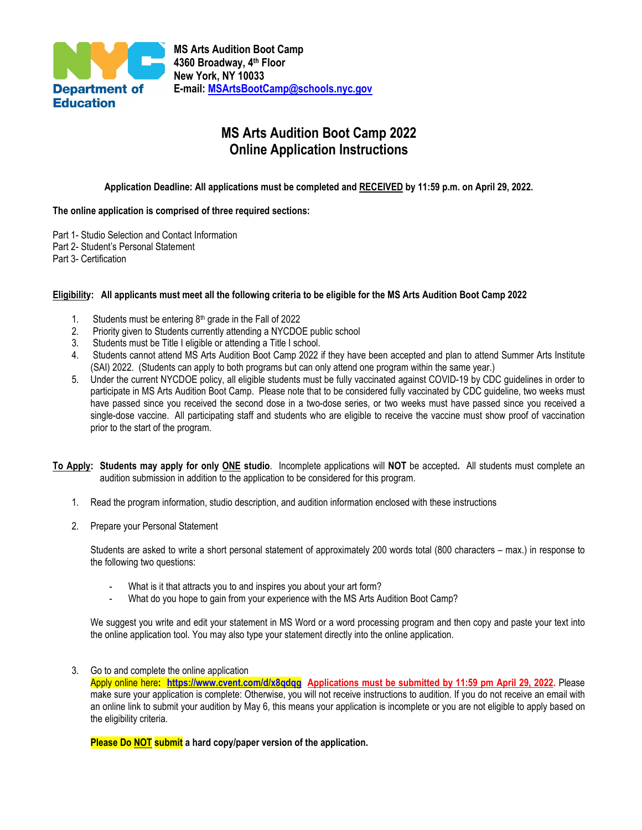

# **MS Arts Audition Boot Camp 2022 Online Application Instructions**

### **Application Deadline: All applications must be completed and RECEIVED by 11:59 p.m. on April 29, 2022.**

#### **The online application is comprised of three required sections:**

- Part 1- Studio Selection and Contact Information
- Part 2- Student's Personal Statement
- Part 3- Certification

#### **Eligibility: All applicants must meet all the following criteria to be eligible for the MS Arts Audition Boot Camp 2022**

- 1. Students must be entering  $8<sup>th</sup>$  grade in the Fall of 2022
- 2. Priority given to Students currently attending a NYCDOE public school
- 3. Students must be Title I eligible or attending a Title I school.
- 4. Students cannot attend MS Arts Audition Boot Camp 2022 if they have been accepted and plan to attend Summer Arts Institute (SAI) 2022. (Students can apply to both programs but can only attend one program within the same year.)
- 5. Under the current NYCDOE policy, all eligible students must be fully vaccinated against COVID-19 by CDC guidelines in order to participate in MS Arts Audition Boot Camp. Please note that to be considered fully vaccinated by CDC guideline, two weeks must have passed since you received the second dose in a two-dose series, or two weeks must have passed since you received a single-dose vaccine. All participating staff and students who are eligible to receive the vaccine must show proof of vaccination prior to the start of the program.
- **To Apply: Students may apply for only ONE studio**. Incomplete applications will **NOT** be accepted**.** All students must complete an audition submission in addition to the application to be considered for this program.
	- 1. Read the program information, studio description, and audition information enclosed with these instructions
	- 2. Prepare your Personal Statement

Students are asked to write a short personal statement of approximately 200 words total (800 characters – max.) in response to the following two questions:

- What is it that attracts you to and inspires you about your art form?
- What do you hope to gain from your experience with the MS Arts Audition Boot Camp?

We suggest you write and edit your statement in MS Word or a word processing program and then copy and paste your text into the online application tool. You may also type your statement directly into the online application.

3. Go to and complete the online application

Apply online here**: <https://www.cvent.com/d/x8qdqg>Applications must be submitted by 11:59 pm April 29, 2022.** Please make sure your application is complete: Otherwise, you will not receive instructions to audition. If you do not receive an email with an online link to submit your audition by May 6, this means your application is incomplete or you are not eligible to apply based on the eligibility criteria.

**Please Do NOT submit a hard copy/paper version of the application.**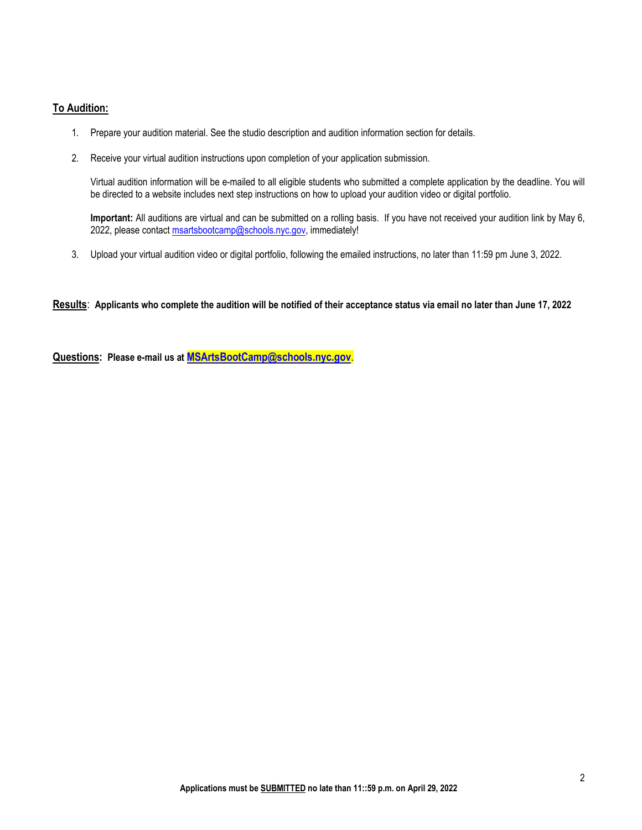### **To Audition:**

- 1. Prepare your audition material. See the studio description and audition information section for details.
- 2. Receive your virtual audition instructions upon completion of your application submission.

Virtual audition information will be e-mailed to all eligible students who submitted a complete application by the deadline. You will be directed to a website includes next step instructions on how to upload your audition video or digital portfolio.

**Important:** All auditions are virtual and can be submitted on a rolling basis. If you have not received your audition link by May 6, 2022, please contact msartsbootcamp@schools.nyc.gov, immediately!

3. Upload your virtual audition video or digital portfolio, following the emailed instructions, no later than 11:59 pm June 3, 2022.

**Results**: **Applicants who complete the audition will be notified of their acceptance status via email no later than June 17, 2022**

**Questions: Please e-mail us at [MSArtsBootCamp@schools.nyc.gov](mailto:MSArtsBootCamp@schools.nyc.gov)**.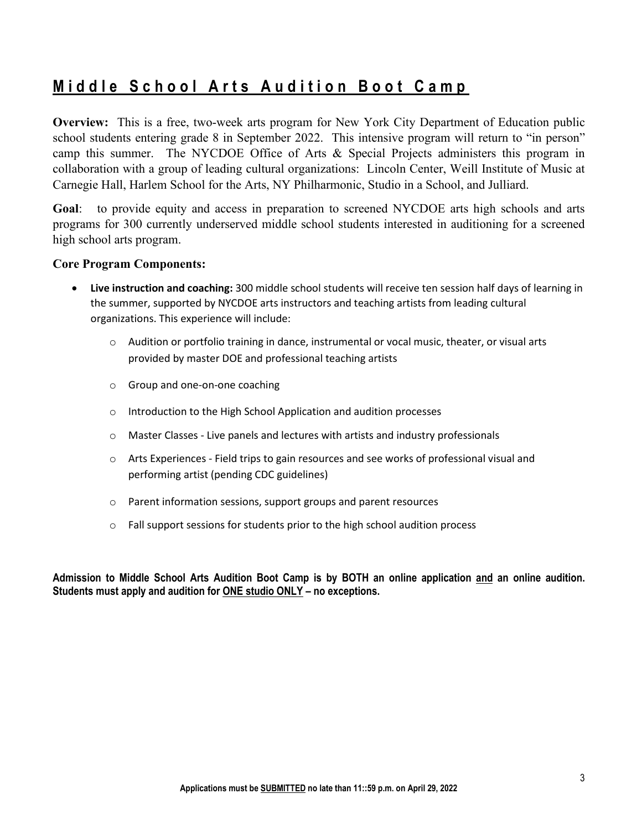# **Middle School Arts Audition Boot Camp**

**Overview:** This is a free, two-week arts program for New York City Department of Education public school students entering grade 8 in September 2022. This intensive program will return to "in person" camp this summer. The NYCDOE Office of Arts & Special Projects administers this program in collaboration with a group of leading cultural organizations: Lincoln Center, Weill Institute of Music at Carnegie Hall, Harlem School for the Arts, NY Philharmonic, Studio in a School, and Julliard.

**Goal**: to provide equity and access in preparation to screened NYCDOE arts high schools and arts programs for 300 currently underserved middle school students interested in auditioning for a screened high school arts program.

## **Core Program Components:**

- **Live instruction and coaching:** 300 middle school students will receive ten session half days of learning in the summer, supported by NYCDOE arts instructors and teaching artists from leading cultural organizations. This experience will include:
	- $\circ$  Audition or portfolio training in dance, instrumental or vocal music, theater, or visual arts provided by master DOE and professional teaching artists
	- o Group and one-on-one coaching
	- o Introduction to the High School Application and audition processes
	- $\circ$  Master Classes Live panels and lectures with artists and industry professionals
	- o Arts Experiences Field trips to gain resources and see works of professional visual and performing artist (pending CDC guidelines)
	- o Parent information sessions, support groups and parent resources
	- $\circ$  Fall support sessions for students prior to the high school audition process

**Admission to Middle School Arts Audition Boot Camp is by BOTH an online application and an online audition. Students must apply and audition for ONE studio ONLY – no exceptions.**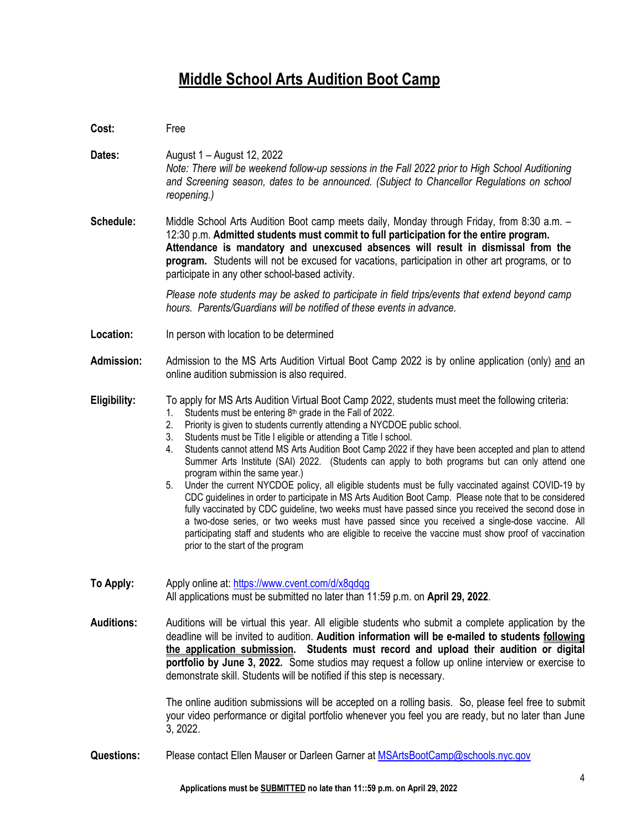# **Middle School Arts Audition Boot Camp**

| Cost:             | Free                                                                                                                                                                                                                                                                                                                                                                                                                                                                                                                                                                                                                                                                                                                                                                                                                                                                                                                                                                                                                                                                                                                                                                           |
|-------------------|--------------------------------------------------------------------------------------------------------------------------------------------------------------------------------------------------------------------------------------------------------------------------------------------------------------------------------------------------------------------------------------------------------------------------------------------------------------------------------------------------------------------------------------------------------------------------------------------------------------------------------------------------------------------------------------------------------------------------------------------------------------------------------------------------------------------------------------------------------------------------------------------------------------------------------------------------------------------------------------------------------------------------------------------------------------------------------------------------------------------------------------------------------------------------------|
| Dates:            | August 1 – August 12, 2022<br>Note: There will be weekend follow-up sessions in the Fall 2022 prior to High School Auditioning<br>and Screening season, dates to be announced. (Subject to Chancellor Regulations on school<br>reopening.)                                                                                                                                                                                                                                                                                                                                                                                                                                                                                                                                                                                                                                                                                                                                                                                                                                                                                                                                     |
| Schedule:         | Middle School Arts Audition Boot camp meets daily, Monday through Friday, from 8:30 a.m. -<br>12:30 p.m. Admitted students must commit to full participation for the entire program.<br>Attendance is mandatory and unexcused absences will result in dismissal from the<br>program. Students will not be excused for vacations, participation in other art programs, or to<br>participate in any other school-based activity.                                                                                                                                                                                                                                                                                                                                                                                                                                                                                                                                                                                                                                                                                                                                                 |
|                   | Please note students may be asked to participate in field trips/events that extend beyond camp<br>hours. Parents/Guardians will be notified of these events in advance.                                                                                                                                                                                                                                                                                                                                                                                                                                                                                                                                                                                                                                                                                                                                                                                                                                                                                                                                                                                                        |
| Location:         | In person with location to be determined                                                                                                                                                                                                                                                                                                                                                                                                                                                                                                                                                                                                                                                                                                                                                                                                                                                                                                                                                                                                                                                                                                                                       |
| <b>Admission:</b> | Admission to the MS Arts Audition Virtual Boot Camp 2022 is by online application (only) and an<br>online audition submission is also required.                                                                                                                                                                                                                                                                                                                                                                                                                                                                                                                                                                                                                                                                                                                                                                                                                                                                                                                                                                                                                                |
| Eligibility:      | To apply for MS Arts Audition Virtual Boot Camp 2022, students must meet the following criteria:<br>Students must be entering 8 <sup>th</sup> grade in the Fall of 2022.<br>1.<br>Priority is given to students currently attending a NYCDOE public school.<br>2.<br>Students must be Title I eligible or attending a Title I school.<br>3.<br>Students cannot attend MS Arts Audition Boot Camp 2022 if they have been accepted and plan to attend<br>4.<br>Summer Arts Institute (SAI) 2022. (Students can apply to both programs but can only attend one<br>program within the same year.)<br>Under the current NYCDOE policy, all eligible students must be fully vaccinated against COVID-19 by<br>5.<br>CDC guidelines in order to participate in MS Arts Audition Boot Camp. Please note that to be considered<br>fully vaccinated by CDC guideline, two weeks must have passed since you received the second dose in<br>a two-dose series, or two weeks must have passed since you received a single-dose vaccine. All<br>participating staff and students who are eligible to receive the vaccine must show proof of vaccination<br>prior to the start of the program |
| To Apply:         | Apply online at: https://www.cvent.com/d/x8qdqq<br>All applications must be submitted no later than 11:59 p.m. on April 29, 2022.                                                                                                                                                                                                                                                                                                                                                                                                                                                                                                                                                                                                                                                                                                                                                                                                                                                                                                                                                                                                                                              |
| <b>Auditions:</b> | Auditions will be virtual this year. All eligible students who submit a complete application by the<br>deadline will be invited to audition. Audition information will be e-mailed to students following<br>the application submission. Students must record and upload their audition or digital<br>portfolio by June 3, 2022. Some studios may request a follow up online interview or exercise to<br>demonstrate skill. Students will be notified if this step is necessary.<br>The online audition submissions will be accepted on a rolling basis. So, please feel free to submit                                                                                                                                                                                                                                                                                                                                                                                                                                                                                                                                                                                         |
|                   | your video performance or digital portfolio whenever you feel you are ready, but no later than June<br>3, 2022.                                                                                                                                                                                                                                                                                                                                                                                                                                                                                                                                                                                                                                                                                                                                                                                                                                                                                                                                                                                                                                                                |
| <b>Questions:</b> | Please contact Ellen Mauser or Darleen Garner at MSArtsBootCamp@schools.nyc.gov                                                                                                                                                                                                                                                                                                                                                                                                                                                                                                                                                                                                                                                                                                                                                                                                                                                                                                                                                                                                                                                                                                |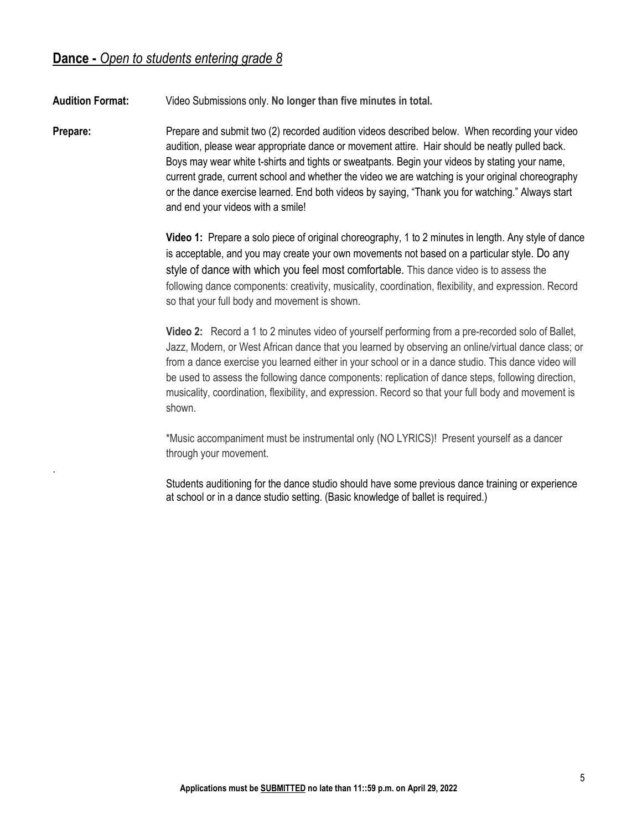.

**Audition Format:** Video Submissions only. **No longer than five minutes in total.**

**Prepare:** Prepare and submit two (2) recorded audition videos described below. When recording your video audition, please wear appropriate dance or movement attire. Hair should be neatly pulled back. Boys may wear white t-shirts and tights or sweatpants. Begin your videos by stating your name, current grade, current school and whether the video we are watching is your original choreography or the dance exercise learned. End both videos by saying, "Thank you for watching." Always start and end your videos with a smile!

> **Video 1:** Prepare a solo piece of original choreography, 1 to 2 minutes in length. Any style of dance is acceptable, and you may create your own movements not based on a particular style. Do any style of dance with which you feel most comfortable. This dance video is to assess the following dance components: creativity, musicality, coordination, flexibility, and expression. Record so that your full body and movement is shown.

> **Video 2:** Record a 1 to 2 minutes video of yourself performing from a pre-recorded solo of Ballet, Jazz, Modern, or West African dance that you learned by observing an online/virtual dance class; or from a dance exercise you learned either in your school or in a dance studio. This dance video will be used to assess the following dance components: replication of dance steps, following direction, musicality, coordination, flexibility, and expression. Record so that your full body and movement is shown.

\*Music accompaniment must be instrumental only (NO LYRICS)! Present yourself as a dancer through your movement.

Students auditioning for the dance studio should have some previous dance training or experience at school or in a dance studio setting. (Basic knowledge of ballet is required.)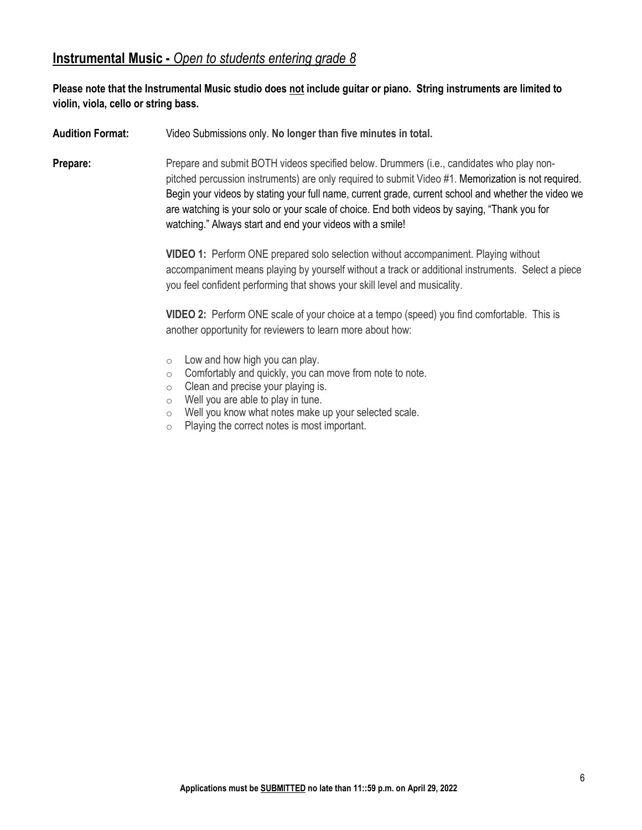## **Instrumental Music -** *Open to students entering grade 8*

## **Please note that the Instrumental Music studio does not include guitar or piano. String instruments are limited to violin, viola, cello or string bass.**

**Audition Format:** Video Submissions only. **No longer than five minutes in total.**

**Prepare:** Prepare and submit BOTH videos specified below. Drummers (i.e., candidates who play nonpitched percussion instruments) are only required to submit Video #1. Memorization is not required. Begin your videos by stating your full name, current grade, current school and whether the video we are watching is your solo or your scale of choice. End both videos by saying, "Thank you for watching." Always start and end your videos with a smile!

> **VIDEO 1:** Perform ONE prepared solo selection without accompaniment. Playing without accompaniment means playing by yourself without a track or additional instruments. Select a piece you feel confident performing that shows your skill level and musicality.

**VIDEO 2:** Perform ONE scale of your choice at a tempo (speed) you find comfortable. This is another opportunity for reviewers to learn more about how:

- $\circ$  Low and how high you can play.
- $\circ$  Comfortably and quickly, you can move from note to note.
- o Clean and precise your playing is.
- $\circ$  Well you are able to play in tune.
- $\circ$  Well you know what notes make up your selected scale.<br>  $\circ$  Plaving the correct notes is most important.
- Playing the correct notes is most important.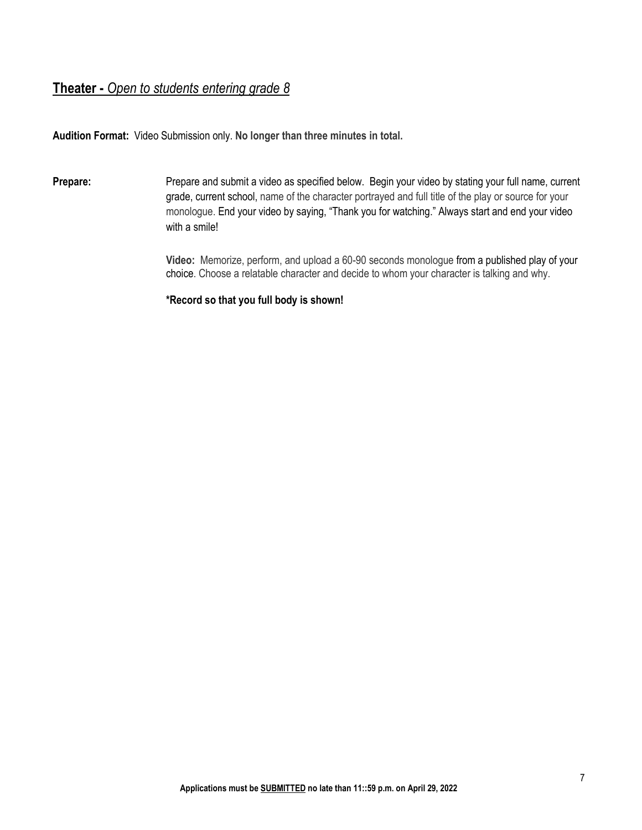## **Theater -** *Open to students entering grade 8*

**Audition Format:** Video Submission only. **No longer than three minutes in total.**

**Prepare:** Prepare and submit a video as specified below. Begin your video by stating your full name, current grade, current school, name of the character portrayed and full title of the play or source for your monologue. End your video by saying, "Thank you for watching." Always start and end your video with a smile!

> **Video:** Memorize, perform, and upload a 60-90 seconds monologue from a published play of your choice. Choose a relatable character and decide to whom your character is talking and why.

**\*Record so that you full body is shown!**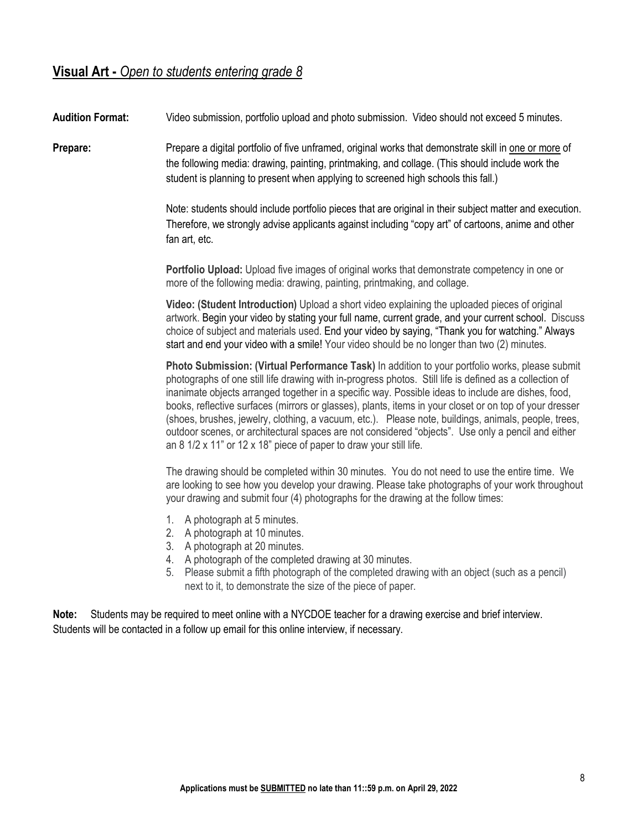# **Visual Art -** *Open to students entering grade 8*

**Audition Format:** Video submission, portfolio upload and photo submission. Video should not exceed 5 minutes.

**Prepare:** Prepare a digital portfolio of five unframed, original works that demonstrate skill in one or more of the following media: drawing, painting, printmaking, and collage. (This should include work the student is planning to present when applying to screened high schools this fall.)

> Note: students should include portfolio pieces that are original in their subject matter and execution. Therefore, we strongly advise applicants against including "copy art" of cartoons, anime and other fan art, etc.

**Portfolio Upload:** Upload five images of original works that demonstrate competency in one or more of the following media: drawing, painting, printmaking, and collage.

**Video: (Student Introduction)** Upload a short video explaining the uploaded pieces of original artwork. Begin your video by stating your full name, current grade, and your current school. Discuss choice of subject and materials used. End your video by saying, "Thank you for watching." Always start and end your video with a smile! Your video should be no longer than two (2) minutes.

**Photo Submission: (Virtual Performance Task)** In addition to your portfolio works, please submit photographs of one still life drawing with in-progress photos. Still life is defined as a collection of inanimate objects arranged together in a specific way. Possible ideas to include are dishes, food, books, reflective surfaces (mirrors or glasses), plants, items in your closet or on top of your dresser (shoes, brushes, jewelry, clothing, a vacuum, etc.). Please note, buildings, animals, people, trees, outdoor scenes, or architectural spaces are not considered "objects". Use only a pencil and either an 8 1/2 x 11" or 12 x 18" piece of paper to draw your still life.

The drawing should be completed within 30 minutes. You do not need to use the entire time. We are looking to see how you develop your drawing. Please take photographs of your work throughout your drawing and submit four (4) photographs for the drawing at the follow times:

- 1. A photograph at 5 minutes.
- 2. A photograph at 10 minutes.
- 3. A photograph at 20 minutes.
- 4. A photograph of the completed drawing at 30 minutes.
- 5. Please submit a fifth photograph of the completed drawing with an object (such as a pencil) next to it, to demonstrate the size of the piece of paper.

**Note:** Students may be required to meet online with a NYCDOE teacher for a drawing exercise and brief interview. Students will be contacted in a follow up email for this online interview, if necessary.